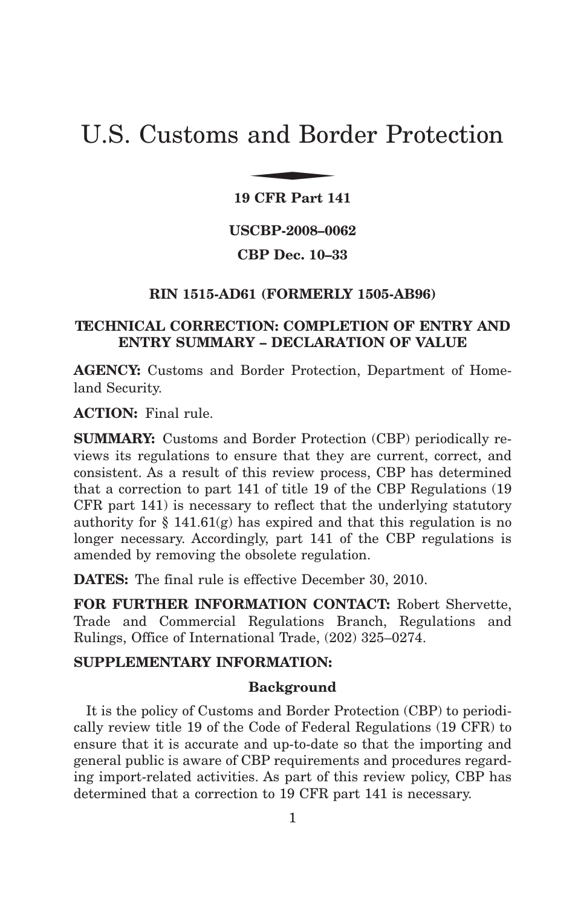# U.S. Customs and Border Protection and Bor

**19 CFR Part 141**

**USCBP-2008–0062**

**CBP Dec. 10–33**

## **RIN 1515-AD61 (FORMERLY 1505-AB96)**

# **TECHNICAL CORRECTION: COMPLETION OF ENTRY AND ENTRY SUMMARY – DECLARATION OF VALUE**

**AGENCY:** Customs and Border Protection, Department of Homeland Security.

**ACTION:** Final rule.

**SUMMARY:** Customs and Border Protection (CBP) periodically reviews its regulations to ensure that they are current, correct, and consistent. As a result of this review process, CBP has determined that a correction to part 141 of title 19 of the CBP Regulations (19 CFR part 141) is necessary to reflect that the underlying statutory authority for  $\S 141.61(g)$  has expired and that this regulation is no longer necessary. Accordingly, part 141 of the CBP regulations is amended by removing the obsolete regulation.

**DATES:** The final rule is effective December 30, 2010.

**FOR FURTHER INFORMATION CONTACT:** Robert Shervette, Trade and Commercial Regulations Branch, Regulations and Rulings, Office of International Trade, (202) 325–0274.

#### **SUPPLEMENTARY INFORMATION:**

#### **Background**

It is the policy of Customs and Border Protection (CBP) to periodically review title 19 of the Code of Federal Regulations (19 CFR) to ensure that it is accurate and up-to-date so that the importing and general public is aware of CBP requirements and procedures regarding import-related activities. As part of this review policy, CBP has determined that a correction to 19 CFR part 141 is necessary.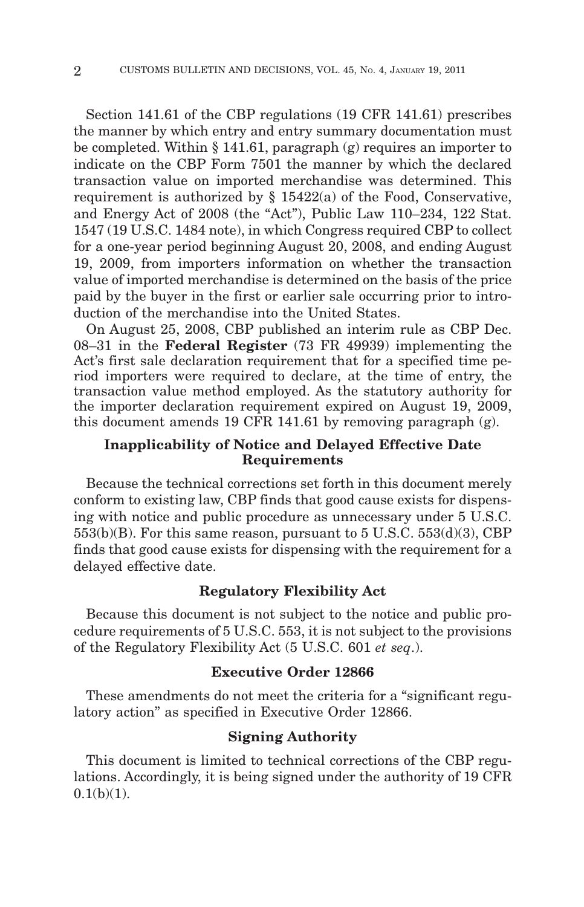Section 141.61 of the CBP regulations (19 CFR 141.61) prescribes the manner by which entry and entry summary documentation must be completed. Within § 141.61, paragraph (g) requires an importer to indicate on the CBP Form 7501 the manner by which the declared transaction value on imported merchandise was determined. This requirement is authorized by § 15422(a) of the Food, Conservative, and Energy Act of 2008 (the "Act"), Public Law 110–234, 122 Stat. 1547 (19 U.S.C. 1484 note), in which Congress required CBP to collect for a one-year period beginning August 20, 2008, and ending August 19, 2009, from importers information on whether the transaction value of imported merchandise is determined on the basis of the price paid by the buyer in the first or earlier sale occurring prior to introduction of the merchandise into the United States.

On August 25, 2008, CBP published an interim rule as CBP Dec. 08–31 in the **Federal Register** (73 FR 49939) implementing the Act's first sale declaration requirement that for a specified time period importers were required to declare, at the time of entry, the transaction value method employed. As the statutory authority for the importer declaration requirement expired on August 19, 2009, this document amends 19 CFR 141.61 by removing paragraph (g).

#### **Inapplicability of Notice and Delayed Effective Date Requirements**

Because the technical corrections set forth in this document merely conform to existing law, CBP finds that good cause exists for dispensing with notice and public procedure as unnecessary under 5 U.S.C.  $553(b)(B)$ . For this same reason, pursuant to  $5 \text{ U.S.C. } 553(d)(3)$ , CBP finds that good cause exists for dispensing with the requirement for a delayed effective date.

#### **Regulatory Flexibility Act**

Because this document is not subject to the notice and public procedure requirements of 5 U.S.C. 553, it is not subject to the provisions of the Regulatory Flexibility Act (5 U.S.C. 601 *et seq*.).

## **Executive Order 12866**

These amendments do not meet the criteria for a "significant regulatory action" as specified in Executive Order 12866.

# **Signing Authority**

This document is limited to technical corrections of the CBP regulations. Accordingly, it is being signed under the authority of 19 CFR  $0.1(b)(1)$ .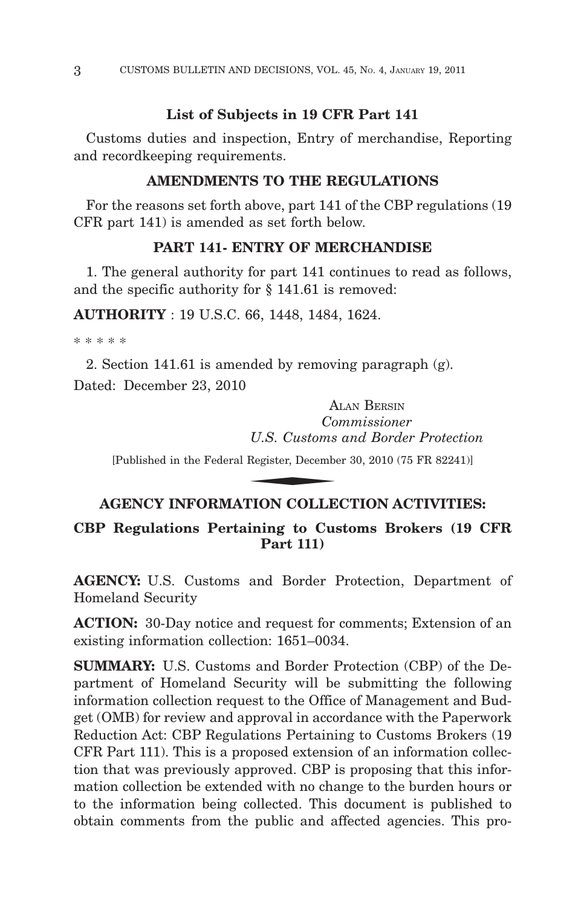# **List of Subjects in 19 CFR Part 141**

Customs duties and inspection, Entry of merchandise, Reporting and recordkeeping requirements.

## **AMENDMENTS TO THE REGULATIONS**

For the reasons set forth above, part 141 of the CBP regulations (19 CFR part 141) is amended as set forth below.

#### **PART 141- ENTRY OF MERCHANDISE**

1. The general authority for part 141 continues to read as follows, and the specific authority for § 141.61 is removed:

**AUTHORITY** : 19 U.S.C. 66, 1448, 1484, 1624.

\*\*\*\*\*

2. Section 141.61 is amended by removing paragraph (g). Dated: December 23, 2010

ALAN BERSIN *Commissioner U.S. Customs and Border Protection* A<br>
Co<br>
U.S. Customs<br>
Register, Decembe<br>
NION COLLE

[Published in the Federal Register, December 30, 2010 (75 FR 82241)]

# **AGENCY INFORMATION COLLECTION ACTIVITIES:**

## **CBP Regulations Pertaining to Customs Brokers (19 CFR Part 111)**

**AGENCY:** U.S. Customs and Border Protection, Department of Homeland Security

**ACTION:** 30-Day notice and request for comments; Extension of an existing information collection: 1651–0034.

**SUMMARY:** U.S. Customs and Border Protection (CBP) of the Department of Homeland Security will be submitting the following information collection request to the Office of Management and Budget (OMB) for review and approval in accordance with the Paperwork Reduction Act: CBP Regulations Pertaining to Customs Brokers (19 CFR Part 111). This is a proposed extension of an information collection that was previously approved. CBP is proposing that this information collection be extended with no change to the burden hours or to the information being collected. This document is published to obtain comments from the public and affected agencies. This pro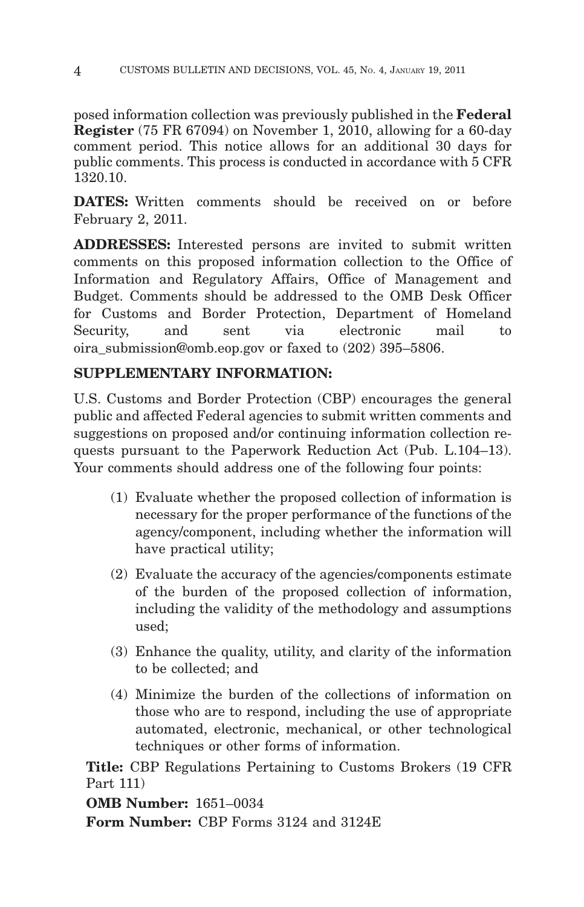posed information collection was previously published in the **Federal Register** (75 FR 67094) on November 1, 2010, allowing for a 60-day comment period. This notice allows for an additional 30 days for public comments. This process is conducted in accordance with 5 CFR 1320.10.

**DATES:** Written comments should be received on or before February 2, 2011.

**ADDRESSES:** Interested persons are invited to submit written comments on this proposed information collection to the Office of Information and Regulatory Affairs, Office of Management and Budget. Comments should be addressed to the OMB Desk Officer for Customs and Border Protection, Department of Homeland Security, and sent via electronic mail to oira\_submission@omb.eop.gov or faxed to (202) 395–5806.

# **SUPPLEMENTARY INFORMATION:**

U.S. Customs and Border Protection (CBP) encourages the general public and affected Federal agencies to submit written comments and suggestions on proposed and/or continuing information collection requests pursuant to the Paperwork Reduction Act (Pub. L.104–13). Your comments should address one of the following four points:

- (1) Evaluate whether the proposed collection of information is necessary for the proper performance of the functions of the agency/component, including whether the information will have practical utility;
- (2) Evaluate the accuracy of the agencies/components estimate of the burden of the proposed collection of information, including the validity of the methodology and assumptions used;
- (3) Enhance the quality, utility, and clarity of the information to be collected; and
- (4) Minimize the burden of the collections of information on those who are to respond, including the use of appropriate automated, electronic, mechanical, or other technological techniques or other forms of information.

**Title:** CBP Regulations Pertaining to Customs Brokers (19 CFR Part 111)

**OMB Number:** 1651–0034

**Form Number:** CBP Forms 3124 and 3124E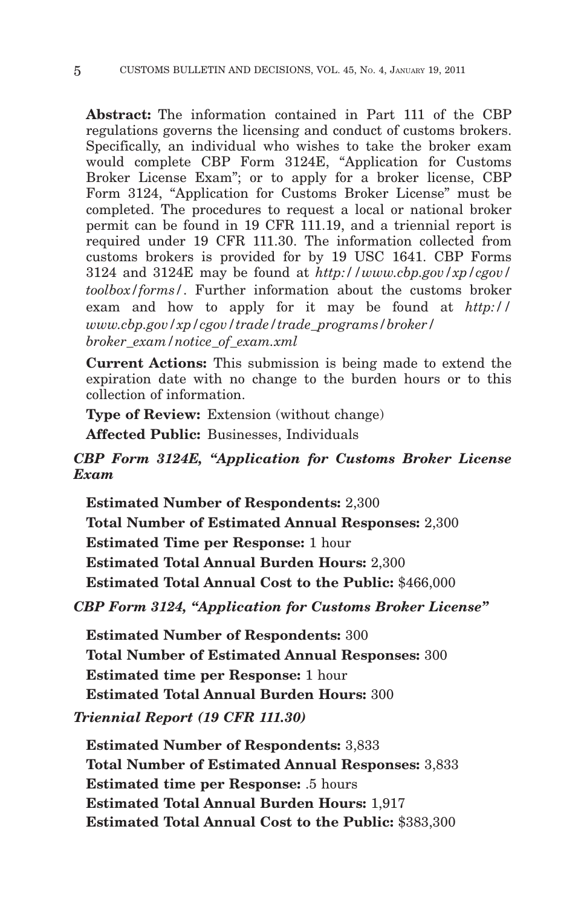**Abstract:** The information contained in Part 111 of the CBP regulations governs the licensing and conduct of customs brokers. Specifically, an individual who wishes to take the broker exam would complete CBP Form 3124E, "Application for Customs Broker License Exam"; or to apply for a broker license, CBP Form 3124, "Application for Customs Broker License" must be completed. The procedures to request a local or national broker permit can be found in 19 CFR 111.19, and a triennial report is required under 19 CFR 111.30. The information collected from customs brokers is provided for by 19 USC 1641. CBP Forms 3124 and 3124E may be found at *http://www.cbp.gov/xp/cgov/ toolbox/forms/*. Further information about the customs broker exam and how to apply for it may be found at *http:// www.cbp.gov/xp/cgov/trade/trade\_programs/broker/ broker\_exam/notice\_of\_exam.xml*

**Current Actions:** This submission is being made to extend the expiration date with no change to the burden hours or to this collection of information.

**Type of Review:** Extension (without change)

**Affected Public:** Businesses, Individuals

# *CBP Form 3124E, "Application for Customs Broker License Exam*

**Estimated Number of Respondents:** 2,300 **Total Number of Estimated Annual Responses:** 2,300 **Estimated Time per Response:** 1 hour **Estimated Total Annual Burden Hours:** 2,300 **Estimated Total Annual Cost to the Public:** \$466,000

*CBP Form 3124, "Application for Customs Broker License"*

**Estimated Number of Respondents:** 300 **Total Number of Estimated Annual Responses:** 300 **Estimated time per Response:** 1 hour **Estimated Total Annual Burden Hours:** 300

*Triennial Report (19 CFR 111.30)*

**Estimated Number of Respondents:** 3,833 **Total Number of Estimated Annual Responses:** 3,833 **Estimated time per Response:** .5 hours **Estimated Total Annual Burden Hours:** 1,917 **Estimated Total Annual Cost to the Public:** \$383,300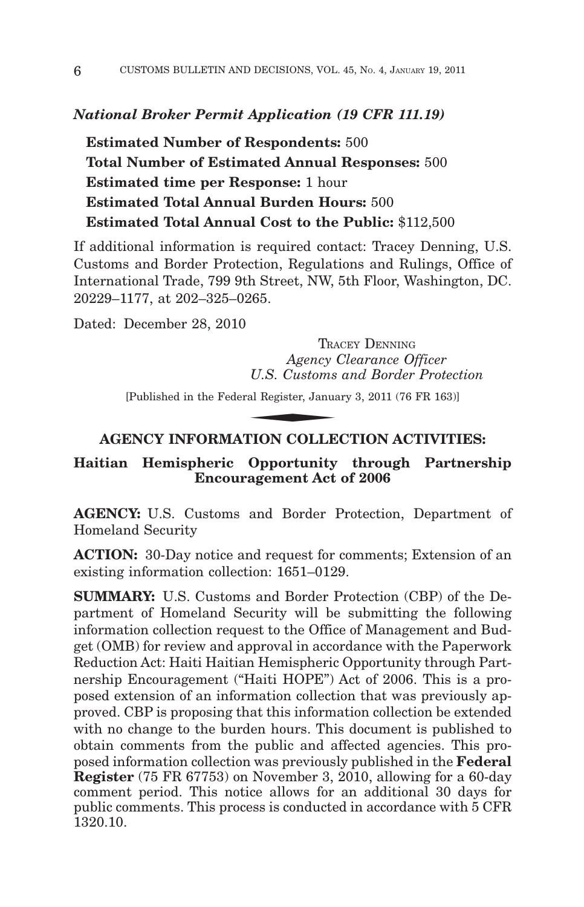#### *National Broker Permit Application (19 CFR 111.19)*

**Estimated Number of Respondents:** 500 **Total Number of Estimated Annual Responses:** 500 **Estimated time per Response:** 1 hour **Estimated Total Annual Burden Hours:** 500 **Estimated Total Annual Cost to the Public:** \$112,500

If additional information is required contact: Tracey Denning, U.S. Customs and Border Protection, Regulations and Rulings, Office of International Trade, 799 9th Street, NW, 5th Floor, Washington, DC. 20229–1177, at 202–325–0265.

Dated: December 28, 2010

TRACEY DENNING *Agency Clearance Officer U.S. Customs and Border Protection* TRA<br> *Agency* (*U.S. Customs*<br>
ral Register, Janua<br> **FION COLLE** 

[Published in the Federal Register, January 3, 2011 (76 FR 163)]

#### **AGENCY INFORMATION COLLECTION ACTIVITIES:**

#### **Haitian Hemispheric Opportunity through Partnership Encouragement Act of 2006**

**AGENCY:** U.S. Customs and Border Protection, Department of Homeland Security

**ACTION:** 30-Day notice and request for comments; Extension of an existing information collection: 1651–0129.

**SUMMARY:** U.S. Customs and Border Protection (CBP) of the Department of Homeland Security will be submitting the following information collection request to the Office of Management and Budget (OMB) for review and approval in accordance with the Paperwork Reduction Act: Haiti Haitian Hemispheric Opportunity through Partnership Encouragement ("Haiti HOPE") Act of 2006. This is a proposed extension of an information collection that was previously approved. CBP is proposing that this information collection be extended with no change to the burden hours. This document is published to obtain comments from the public and affected agencies. This proposed information collection was previously published in the **Federal Register** (75 FR 67753) on November 3, 2010, allowing for a 60-day comment period. This notice allows for an additional 30 days for public comments. This process is conducted in accordance with 5 CFR 1320.10.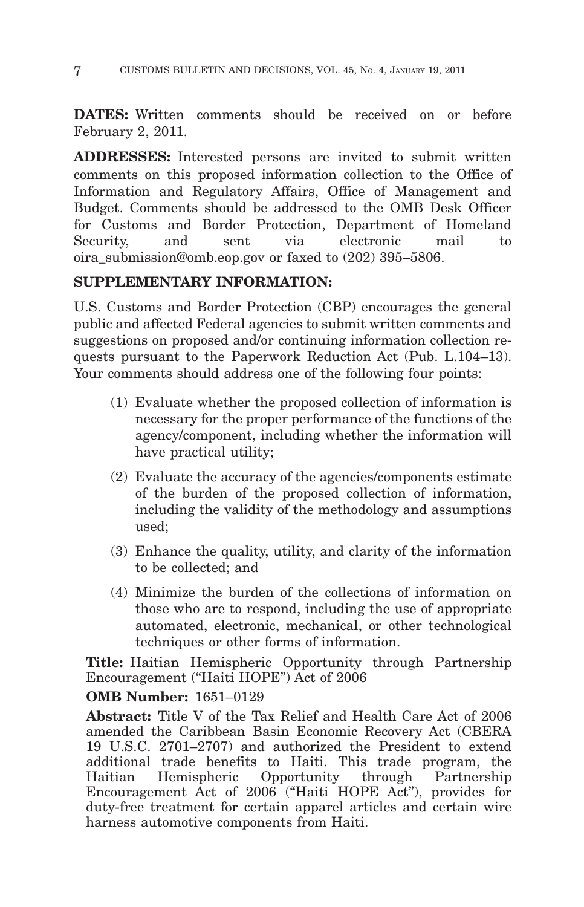**DATES:** Written comments should be received on or before February 2, 2011.

**ADDRESSES:** Interested persons are invited to submit written comments on this proposed information collection to the Office of Information and Regulatory Affairs, Office of Management and Budget. Comments should be addressed to the OMB Desk Officer for Customs and Border Protection, Department of Homeland Security, and sent via electronic mail to oira\_submission@omb.eop.gov or faxed to (202) 395–5806.

# **SUPPLEMENTARY INFORMATION:**

U.S. Customs and Border Protection (CBP) encourages the general public and affected Federal agencies to submit written comments and suggestions on proposed and/or continuing information collection requests pursuant to the Paperwork Reduction Act (Pub. L.104–13). Your comments should address one of the following four points:

- (1) Evaluate whether the proposed collection of information is necessary for the proper performance of the functions of the agency/component, including whether the information will have practical utility;
- (2) Evaluate the accuracy of the agencies/components estimate of the burden of the proposed collection of information, including the validity of the methodology and assumptions used;
- (3) Enhance the quality, utility, and clarity of the information to be collected; and
- (4) Minimize the burden of the collections of information on those who are to respond, including the use of appropriate automated, electronic, mechanical, or other technological techniques or other forms of information.

**Title:** Haitian Hemispheric Opportunity through Partnership Encouragement ("Haiti HOPE") Act of 2006

# **OMB Number:** 1651–0129

**Abstract:** Title V of the Tax Relief and Health Care Act of 2006 amended the Caribbean Basin Economic Recovery Act (CBERA 19 U.S.C. 2701–2707) and authorized the President to extend additional trade benefits to Haiti. This trade program, the Haitian Hemispheric Opportunity through Partnership Encouragement Act of 2006 ("Haiti HOPE Act"), provides for duty-free treatment for certain apparel articles and certain wire harness automotive components from Haiti.